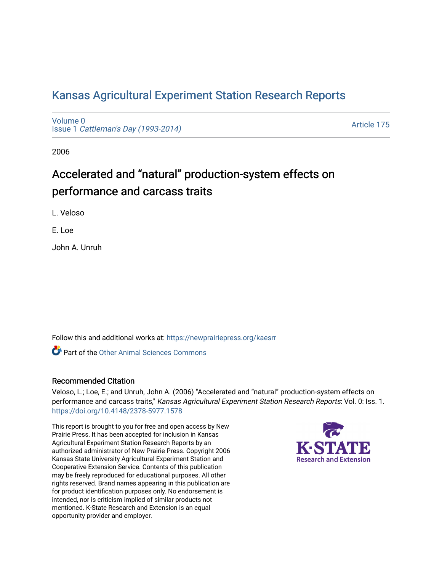## [Kansas Agricultural Experiment Station Research Reports](https://newprairiepress.org/kaesrr)

[Volume 0](https://newprairiepress.org/kaesrr/vol0) Issue 1 [Cattleman's Day \(1993-2014\)](https://newprairiepress.org/kaesrr/vol0/iss1) 

[Article 175](https://newprairiepress.org/kaesrr/vol0/iss1/175) 

2006

# Accelerated and "natural" production-system effects on performance and carcass traits

L. Veloso

E. Loe

John A. Unruh

Follow this and additional works at: [https://newprairiepress.org/kaesrr](https://newprairiepress.org/kaesrr?utm_source=newprairiepress.org%2Fkaesrr%2Fvol0%2Fiss1%2F175&utm_medium=PDF&utm_campaign=PDFCoverPages) 

**C** Part of the [Other Animal Sciences Commons](http://network.bepress.com/hgg/discipline/82?utm_source=newprairiepress.org%2Fkaesrr%2Fvol0%2Fiss1%2F175&utm_medium=PDF&utm_campaign=PDFCoverPages)

#### Recommended Citation

Veloso, L.; Loe, E.; and Unruh, John A. (2006) "Accelerated and "natural" production-system effects on performance and carcass traits," Kansas Agricultural Experiment Station Research Reports: Vol. 0: Iss. 1. <https://doi.org/10.4148/2378-5977.1578>

This report is brought to you for free and open access by New Prairie Press. It has been accepted for inclusion in Kansas Agricultural Experiment Station Research Reports by an authorized administrator of New Prairie Press. Copyright 2006 Kansas State University Agricultural Experiment Station and Cooperative Extension Service. Contents of this publication may be freely reproduced for educational purposes. All other rights reserved. Brand names appearing in this publication are for product identification purposes only. No endorsement is intended, nor is criticism implied of similar products not mentioned. K-State Research and Extension is an equal opportunity provider and employer.

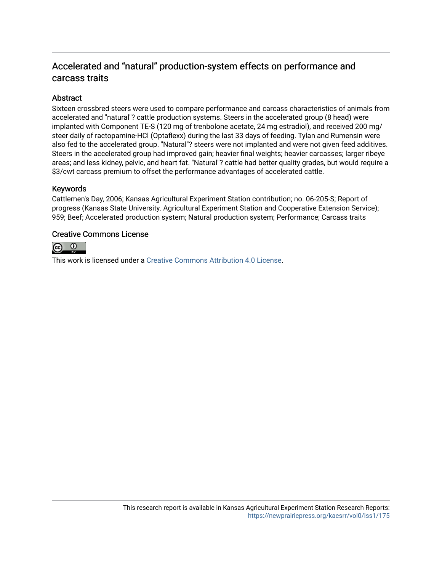### Accelerated and "natural" production-system effects on performance and carcass traits

#### **Abstract**

Sixteen crossbred steers were used to compare performance and carcass characteristics of animals from accelerated and "natural"? cattle production systems. Steers in the accelerated group (8 head) were implanted with Component TE-S (120 mg of trenbolone acetate, 24 mg estradiol), and received 200 mg/ steer daily of ractopamine-HCl (Optaflexx) during the last 33 days of feeding. Tylan and Rumensin were also fed to the accelerated group. "Natural"? steers were not implanted and were not given feed additives. Steers in the accelerated group had improved gain; heavier final weights; heavier carcasses; larger ribeye areas; and less kidney, pelvic, and heart fat. "Natural"? cattle had better quality grades, but would require a \$3/cwt carcass premium to offset the performance advantages of accelerated cattle.

#### Keywords

Cattlemen's Day, 2006; Kansas Agricultural Experiment Station contribution; no. 06-205-S; Report of progress (Kansas State University. Agricultural Experiment Station and Cooperative Extension Service); 959; Beef; Accelerated production system; Natural production system; Performance; Carcass traits

#### Creative Commons License



This work is licensed under a [Creative Commons Attribution 4.0 License](https://creativecommons.org/licenses/by/4.0/).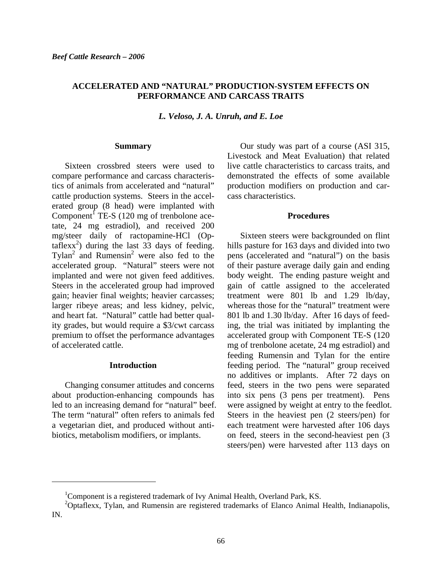#### **ACCELERATED AND "NATURAL" PRODUCTION-SYSTEM EFFECTS ON PERFORMANCE AND CARCASS TRAITS**

*L. Veloso, J. A. Unruh, and E. Loe* 

#### **Summary**

 Sixteen crossbred steers were used to compare performance and carcass characteristics of animals from accelerated and "natural" cattle production systems. Steers in the accelerated group (8 head) were implanted with Component<sup> $\int$ </sup> TE-S (120 mg of trenbolone acetate, 24 mg estradiol), and received 200 mg/steer daily of ractopamine-HCl (Optaflexx<sup>2</sup>) during the last  $3\overline{3}$  days of feeding. Tylan<sup>2</sup> and Rumensin<sup>2</sup> were also fed to the accelerated group. "Natural" steers were not implanted and were not given feed additives. Steers in the accelerated group had improved gain; heavier final weights; heavier carcasses; larger ribeye areas; and less kidney, pelvic, and heart fat. "Natural" cattle had better quality grades, but would require a \$3/cwt carcass premium to offset the performance advantages of accelerated cattle.

#### **Introduction**

 Changing consumer attitudes and concerns about production-enhancing compounds has led to an increasing demand for "natural" beef. The term "natural" often refers to animals fed a vegetarian diet, and produced without antibiotics, metabolism modifiers, or implants.

l

 Our study was part of a course (ASI 315, Livestock and Meat Evaluation) that related live cattle characteristics to carcass traits, and demonstrated the effects of some available production modifiers on production and carcass characteristics.

#### **Procedures**

 Sixteen steers were backgrounded on flint hills pasture for 163 days and divided into two pens (accelerated and "natural") on the basis of their pasture average daily gain and ending body weight. The ending pasture weight and gain of cattle assigned to the accelerated treatment were 801 lb and 1.29 lb/day, whereas those for the "natural" treatment were 801 lb and 1.30 lb/day. After 16 days of feeding, the trial was initiated by implanting the accelerated group with Component TE-S (120 mg of trenbolone acetate, 24 mg estradiol) and feeding Rumensin and Tylan for the entire feeding period. The "natural" group received no additives or implants. After 72 days on feed, steers in the two pens were separated into six pens (3 pens per treatment). Pens were assigned by weight at entry to the feedlot. Steers in the heaviest pen (2 steers/pen) for each treatment were harvested after 106 days on feed, steers in the second-heaviest pen (3 steers/pen) were harvested after 113 days on

<sup>&</sup>lt;sup>1</sup>Component is a registered trademark of Ivy Animal Health, Overland Park, KS.

<sup>&</sup>lt;sup>2</sup>Optaflexx, Tylan, and Rumensin are registered trademarks of Elanco Animal Health, Indianapolis, IN.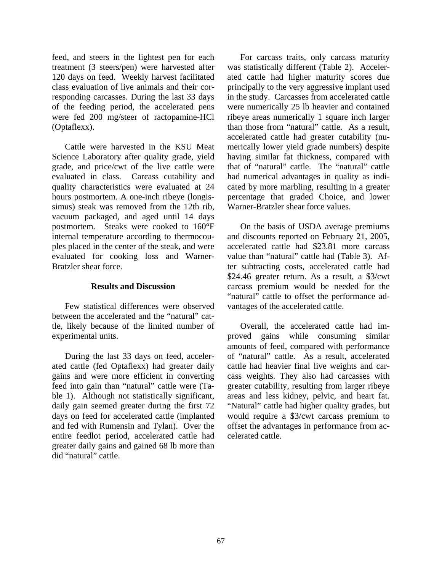feed, and steers in the lightest pen for each treatment (3 steers/pen) were harvested after 120 days on feed. Weekly harvest facilitated class evaluation of live animals and their corresponding carcasses. During the last 33 days of the feeding period, the accelerated pens were fed 200 mg/steer of ractopamine-HCl (Optaflexx).

 Cattle were harvested in the KSU Meat Science Laboratory after quality grade, yield grade, and price/cwt of the live cattle were evaluated in class. Carcass cutability and quality characteristics were evaluated at 24 hours postmortem. A one-inch ribeye (longissimus) steak was removed from the 12th rib, vacuum packaged, and aged until 14 days postmortem. Steaks were cooked to 160°F internal temperature according to thermocouples placed in the center of the steak, and were evaluated for cooking loss and Warner-Bratzler shear force.

#### **Results and Discussion**

 Few statistical differences were observed between the accelerated and the "natural" cattle, likely because of the limited number of experimental units.

 During the last 33 days on feed, accelerated cattle (fed Optaflexx) had greater daily gains and were more efficient in converting feed into gain than "natural" cattle were (Table 1). Although not statistically significant, daily gain seemed greater during the first 72 days on feed for accelerated cattle (implanted and fed with Rumensin and Tylan). Over the entire feedlot period, accelerated cattle had greater daily gains and gained 68 lb more than did "natural" cattle.

 For carcass traits, only carcass maturity was statistically different (Table 2). Accelerated cattle had higher maturity scores due principally to the very aggressive implant used in the study. Carcasses from accelerated cattle were numerically 25 lb heavier and contained ribeye areas numerically 1 square inch larger than those from "natural" cattle. As a result, accelerated cattle had greater cutability (numerically lower yield grade numbers) despite having similar fat thickness, compared with that of "natural" cattle. The "natural" cattle had numerical advantages in quality as indicated by more marbling, resulting in a greater percentage that graded Choice, and lower Warner-Bratzler shear force values.

 On the basis of USDA average premiums and discounts reported on February 21, 2005, accelerated cattle had \$23.81 more carcass value than "natural" cattle had (Table 3). After subtracting costs, accelerated cattle had \$24.46 greater return. As a result, a \$3/cwt carcass premium would be needed for the "natural" cattle to offset the performance advantages of the accelerated cattle.

 Overall, the accelerated cattle had improved gains while consuming similar amounts of feed, compared with performance of "natural" cattle. As a result, accelerated cattle had heavier final live weights and carcass weights. They also had carcasses with greater cutability, resulting from larger ribeye areas and less kidney, pelvic, and heart fat. "Natural" cattle had higher quality grades, but would require a \$3/cwt carcass premium to offset the advantages in performance from accelerated cattle.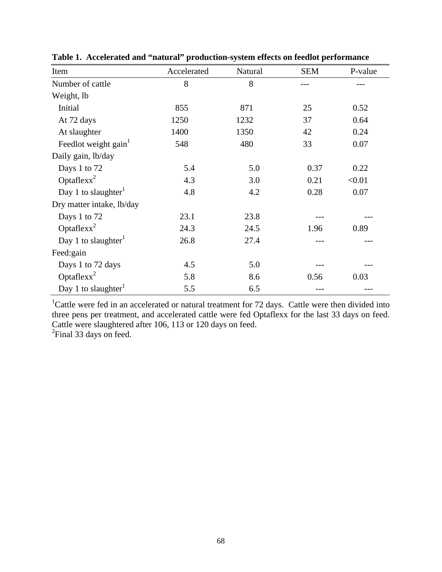| Item                             | Accelerated | Natural | <b>SEM</b> | P-value |
|----------------------------------|-------------|---------|------------|---------|
| Number of cattle                 | 8           | 8       |            |         |
| Weight, lb                       |             |         |            |         |
| Initial                          | 855         | 871     | 25         | 0.52    |
| At 72 days                       | 1250        | 1232    | 37         | 0.64    |
| At slaughter                     | 1400        | 1350    | 42         | 0.24    |
| Feedlot weight gain <sup>1</sup> | 548         | 480     | 33         | 0.07    |
| Daily gain, lb/day               |             |         |            |         |
| Days 1 to 72                     | 5.4         | 5.0     | 0.37       | 0.22    |
| Optaflex $x^2$                   | 4.3         | 3.0     | 0.21       | < 0.01  |
| Day 1 to slaughter <sup>1</sup>  | 4.8         | 4.2     | 0.28       | 0.07    |
| Dry matter intake, lb/day        |             |         |            |         |
| Days 1 to 72                     | 23.1        | 23.8    |            |         |
| Optaflex $x^2$                   | 24.3        | 24.5    | 1.96       | 0.89    |
| Day 1 to slaughter <sup>1</sup>  | 26.8        | 27.4    |            |         |
| Feed:gain                        |             |         |            |         |
| Days 1 to 72 days                | 4.5         | 5.0     |            |         |
| Optaflex $x^2$                   | 5.8         | 8.6     | 0.56       | 0.03    |
| Day 1 to slaughter               | 5.5         | 6.5     |            |         |

**Table 1. Accelerated and "natural" production-system effects on feedlot performance** 

<sup>1</sup>Cattle were fed in an accelerated or natural treatment for 72 days. Cattle were then divided into three pens per treatment, and accelerated cattle were fed Optaflexx for the last 33 days on feed. Cattle were slaughtered after 106, 113 or 120 days on feed.

 ${}^{2}$ Final 33 days on feed.